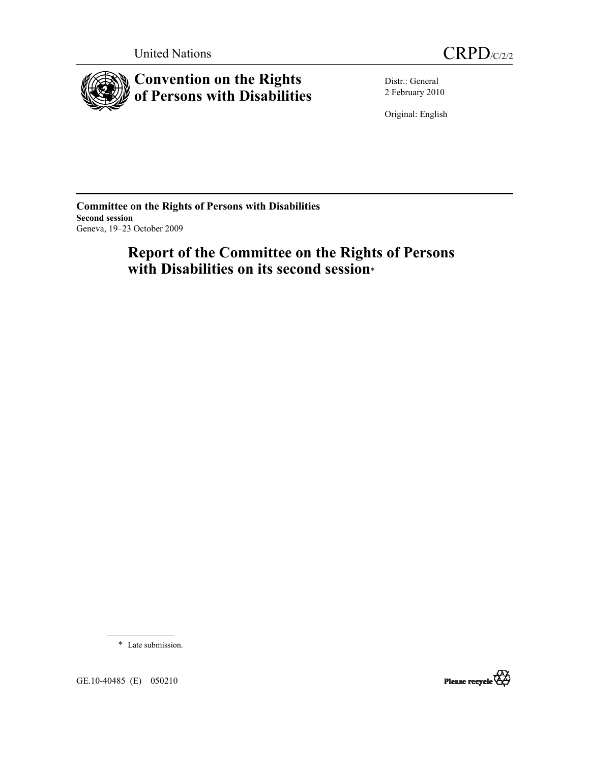



**Convention on the Rights of Persons with Disabilities** 

Distr.: General 2 February 2010

Original: English

**Committee on the Rights of Persons with Disabilities Second session**  Geneva, 19–23 October 2009

# **Report of the Committee on the Rights of Persons with Disabilities on its second session**\*

\* Late submission.



GE.10-40485 (E) 050210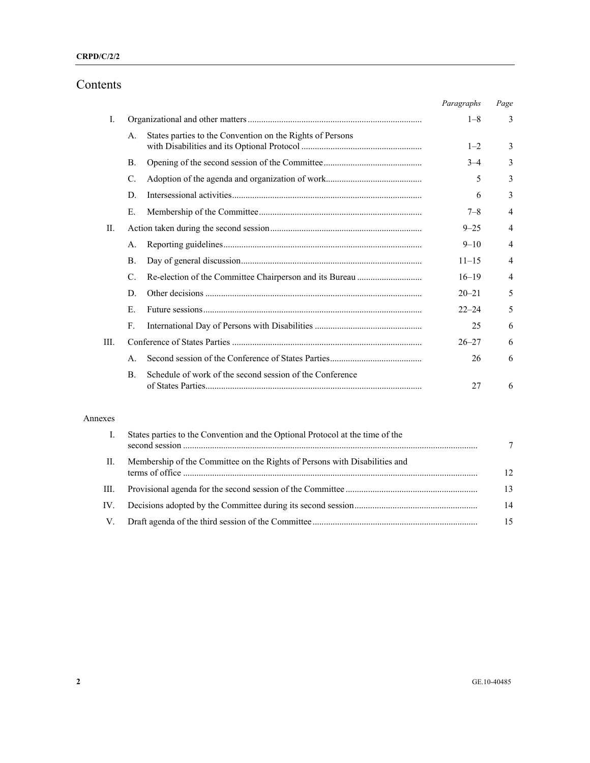## Contents

|      |                                                                            | Paragraphs | Page           |
|------|----------------------------------------------------------------------------|------------|----------------|
| L    |                                                                            | $1 - 8$    | 3              |
|      | States parties to the Convention on the Rights of Persons<br>А.            | $1 - 2$    | 3              |
|      | В.                                                                         | $3 - 4$    | 3              |
|      | C.                                                                         | 5          | 3              |
|      | D.                                                                         | 6          | 3              |
|      | Е.                                                                         | $7 - 8$    | 4              |
| H.   |                                                                            | $9 - 25$   | $\overline{4}$ |
|      | А.                                                                         | $9 - 10$   | 4              |
|      | $\mathbf{B}$ .                                                             | $11 - 15$  | $\overline{4}$ |
|      | C.                                                                         | $16 - 19$  | 4              |
|      | D.                                                                         | $20 - 21$  | 5              |
|      | Е.                                                                         | $22 - 24$  | 5              |
|      | $F_{\rm c}$                                                                | 25         | 6              |
| III. |                                                                            | $26 - 27$  | 6              |
|      | $\mathsf{A}$ .                                                             | 26         | 6              |
|      | Schedule of work of the second session of the Conference<br>$\mathbf{B}$ . | 27         | 6              |

### Annexes

|      | States parties to the Convention and the Optional Protocol at the time of the |    |
|------|-------------------------------------------------------------------------------|----|
| Н.   | Membership of the Committee on the Rights of Persons with Disabilities and    | 12 |
| III. |                                                                               | 13 |
| IV.  |                                                                               | 14 |
| V    |                                                                               |    |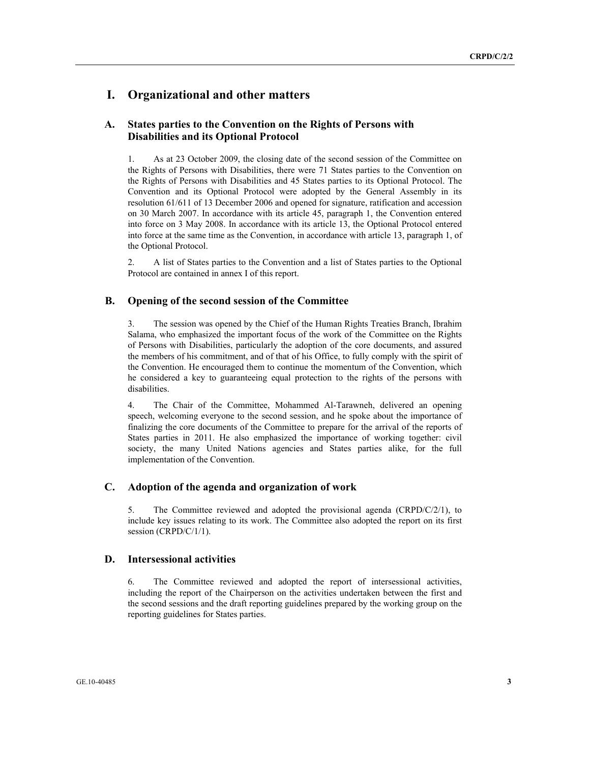## **I. Organizational and other matters**

### **A. States parties to the Convention on the Rights of Persons with Disabilities and its Optional Protocol**

1. As at 23 October 2009, the closing date of the second session of the Committee on the Rights of Persons with Disabilities, there were 71 States parties to the Convention on the Rights of Persons with Disabilities and 45 States parties to its Optional Protocol. The Convention and its Optional Protocol were adopted by the General Assembly in its resolution 61/611 of 13 December 2006 and opened for signature, ratification and accession on 30 March 2007. In accordance with its article 45, paragraph 1, the Convention entered into force on 3 May 2008. In accordance with its article 13, the Optional Protocol entered into force at the same time as the Convention, in accordance with article 13, paragraph 1, of the Optional Protocol.

2. A list of States parties to the Convention and a list of States parties to the Optional Protocol are contained in annex I of this report.

### **B. Opening of the second session of the Committee**

3. The session was opened by the Chief of the Human Rights Treaties Branch, Ibrahim Salama, who emphasized the important focus of the work of the Committee on the Rights of Persons with Disabilities, particularly the adoption of the core documents, and assured the members of his commitment, and of that of his Office, to fully comply with the spirit of the Convention. He encouraged them to continue the momentum of the Convention, which he considered a key to guaranteeing equal protection to the rights of the persons with disabilities.

4. The Chair of the Committee, Mohammed Al-Tarawneh, delivered an opening speech, welcoming everyone to the second session, and he spoke about the importance of finalizing the core documents of the Committee to prepare for the arrival of the reports of States parties in 2011. He also emphasized the importance of working together: civil society, the many United Nations agencies and States parties alike, for the full implementation of the Convention.

### **C. Adoption of the agenda and organization of work**

5. The Committee reviewed and adopted the provisional agenda (CRPD/C/2/1), to include key issues relating to its work. The Committee also adopted the report on its first session (CRPD/C/1/1).

#### **D. Intersessional activities**

6. The Committee reviewed and adopted the report of intersessional activities, including the report of the Chairperson on the activities undertaken between the first and the second sessions and the draft reporting guidelines prepared by the working group on the reporting guidelines for States parties.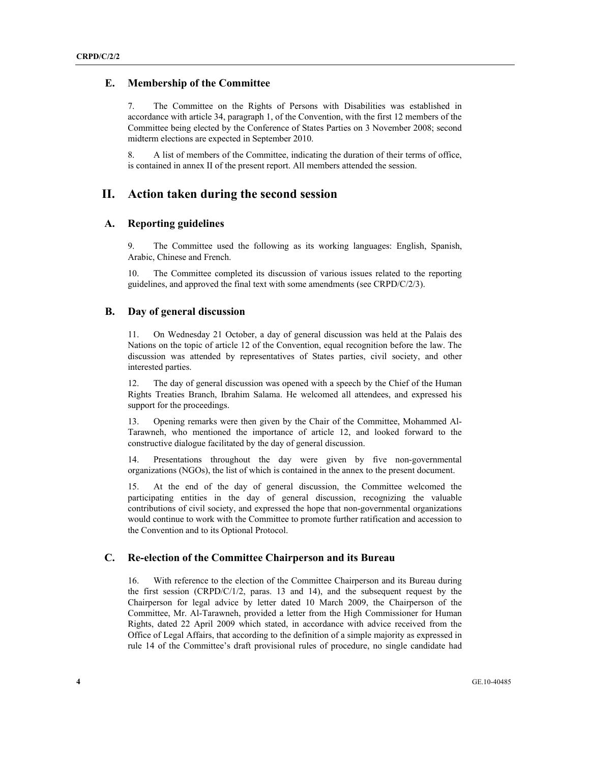#### **E. Membership of the Committee**

7. The Committee on the Rights of Persons with Disabilities was established in accordance with article 34, paragraph 1, of the Convention, with the first 12 members of the Committee being elected by the Conference of States Parties on 3 November 2008; second midterm elections are expected in September 2010.

8. A list of members of the Committee, indicating the duration of their terms of office, is contained in annex II of the present report. All members attended the session.

### **II. Action taken during the second session**

#### **A. Reporting guidelines**

9. The Committee used the following as its working languages: English, Spanish, Arabic, Chinese and French.

10. The Committee completed its discussion of various issues related to the reporting guidelines, and approved the final text with some amendments (see CRPD/C/2/3).

### **B. Day of general discussion**

11. On Wednesday 21 October, a day of general discussion was held at the Palais des Nations on the topic of article 12 of the Convention, equal recognition before the law. The discussion was attended by representatives of States parties, civil society, and other interested parties.

12. The day of general discussion was opened with a speech by the Chief of the Human Rights Treaties Branch, Ibrahim Salama. He welcomed all attendees, and expressed his support for the proceedings.

13. Opening remarks were then given by the Chair of the Committee, Mohammed Al-Tarawneh, who mentioned the importance of article 12, and looked forward to the constructive dialogue facilitated by the day of general discussion.

14. Presentations throughout the day were given by five non-governmental organizations (NGOs), the list of which is contained in the annex to the present document.

15. At the end of the day of general discussion, the Committee welcomed the participating entities in the day of general discussion, recognizing the valuable contributions of civil society, and expressed the hope that non-governmental organizations would continue to work with the Committee to promote further ratification and accession to the Convention and to its Optional Protocol.

#### **C. Re-election of the Committee Chairperson and its Bureau**

16. With reference to the election of the Committee Chairperson and its Bureau during the first session (CRPD/C/1/2, paras. 13 and 14), and the subsequent request by the Chairperson for legal advice by letter dated 10 March 2009, the Chairperson of the Committee, Mr. Al-Tarawneh, provided a letter from the High Commissioner for Human Rights, dated 22 April 2009 which stated, in accordance with advice received from the Office of Legal Affairs, that according to the definition of a simple majority as expressed in rule 14 of the Committee's draft provisional rules of procedure, no single candidate had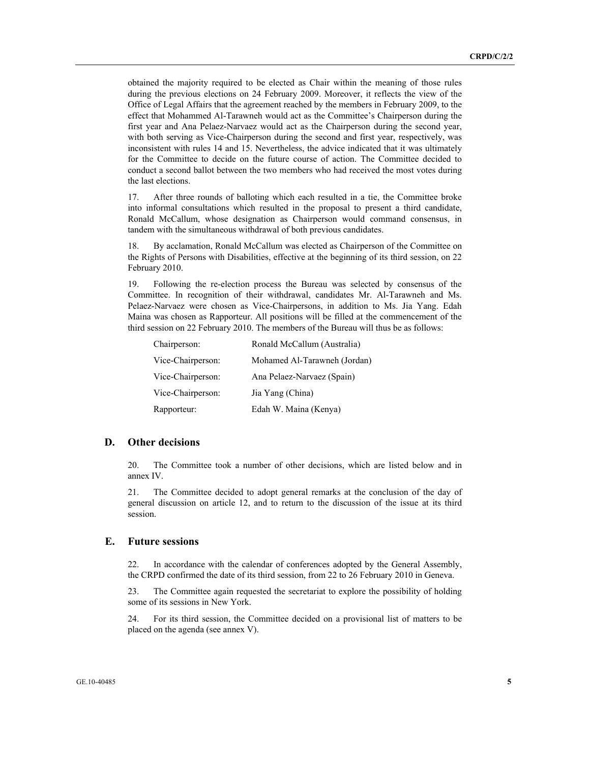obtained the majority required to be elected as Chair within the meaning of those rules during the previous elections on 24 February 2009. Moreover, it reflects the view of the Office of Legal Affairs that the agreement reached by the members in February 2009, to the effect that Mohammed Al-Tarawneh would act as the Committee's Chairperson during the first year and Ana Pelaez-Narvaez would act as the Chairperson during the second year, with both serving as Vice-Chairperson during the second and first year, respectively, was inconsistent with rules 14 and 15. Nevertheless, the advice indicated that it was ultimately for the Committee to decide on the future course of action. The Committee decided to conduct a second ballot between the two members who had received the most votes during the last elections.

17. After three rounds of balloting which each resulted in a tie, the Committee broke into informal consultations which resulted in the proposal to present a third candidate, Ronald McCallum, whose designation as Chairperson would command consensus, in tandem with the simultaneous withdrawal of both previous candidates.

18. By acclamation, Ronald McCallum was elected as Chairperson of the Committee on the Rights of Persons with Disabilities, effective at the beginning of its third session, on 22 February 2010.

19. Following the re-election process the Bureau was selected by consensus of the Committee. In recognition of their withdrawal, candidates Mr. Al-Tarawneh and Ms. Pelaez-Narvaez were chosen as Vice-Chairpersons, in addition to Ms. Jia Yang. Edah Maina was chosen as Rapporteur. All positions will be filled at the commencement of the third session on 22 February 2010. The members of the Bureau will thus be as follows:

| Chairperson:      | Ronald McCallum (Australia)  |
|-------------------|------------------------------|
| Vice-Chairperson: | Mohamed Al-Tarawneh (Jordan) |
| Vice-Chairperson: | Ana Pelaez-Narvaez (Spain)   |
| Vice-Chairperson: | Jia Yang (China)             |
| Rapporteur:       | Edah W. Maina (Kenya)        |

#### **D. Other decisions**

20. The Committee took a number of other decisions, which are listed below and in annex IV.

21. The Committee decided to adopt general remarks at the conclusion of the day of general discussion on article 12, and to return to the discussion of the issue at its third session.

#### **E. Future sessions**

22. In accordance with the calendar of conferences adopted by the General Assembly, the CRPD confirmed the date of its third session, from 22 to 26 February 2010 in Geneva.

23. The Committee again requested the secretariat to explore the possibility of holding some of its sessions in New York.

24. For its third session, the Committee decided on a provisional list of matters to be placed on the agenda (see annex V).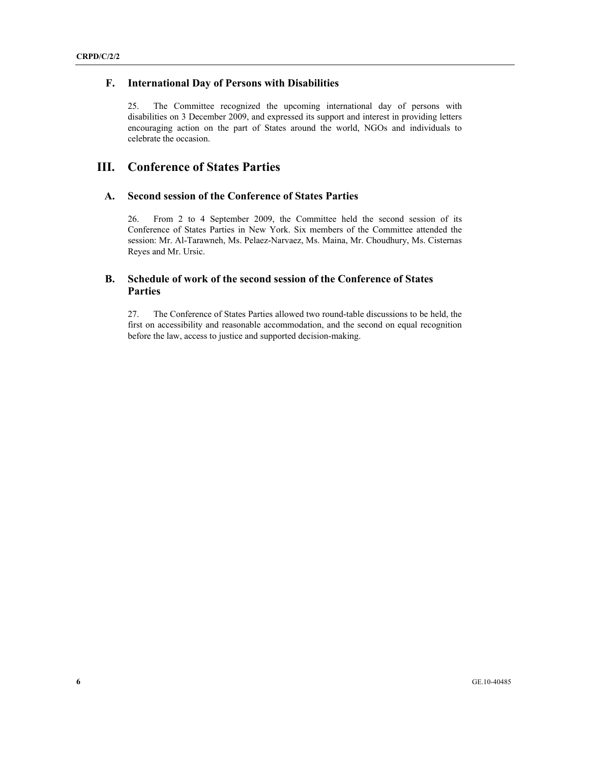### **F. International Day of Persons with Disabilities**

25. The Committee recognized the upcoming international day of persons with disabilities on 3 December 2009, and expressed its support and interest in providing letters encouraging action on the part of States around the world, NGOs and individuals to celebrate the occasion.

## **III. Conference of States Parties**

### **A. Second session of the Conference of States Parties**

26. From 2 to 4 September 2009, the Committee held the second session of its Conference of States Parties in New York. Six members of the Committee attended the session: Mr. Al-Tarawneh, Ms. Pelaez-Narvaez, Ms. Maina, Mr. Choudhury, Ms. Cisternas Reyes and Mr. Ursic.

## **B. Schedule of work of the second session of the Conference of States Parties**

27. The Conference of States Parties allowed two round-table discussions to be held, the first on accessibility and reasonable accommodation, and the second on equal recognition before the law, access to justice and supported decision-making.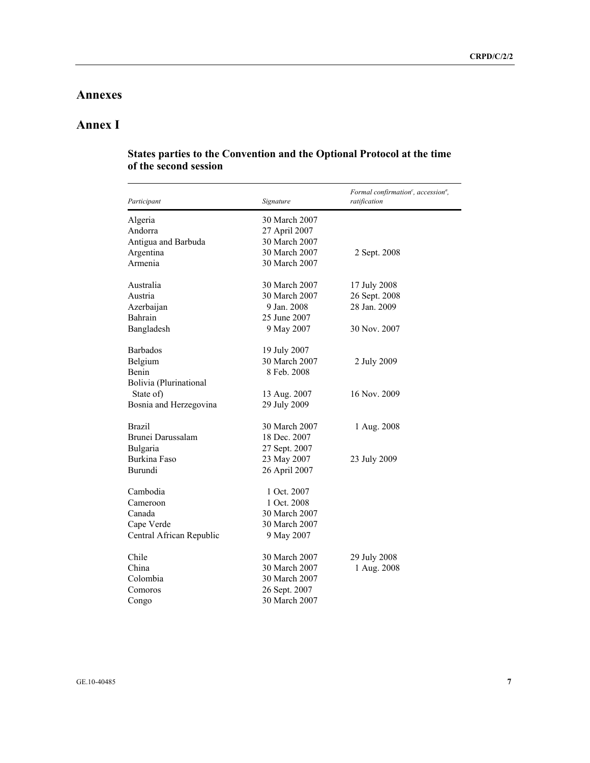## **Annexes**

# **Annex I**

| Participant              | Signature     | Formal confirmation <sup>c</sup> , accession <sup>a</sup> ,<br>ratification |
|--------------------------|---------------|-----------------------------------------------------------------------------|
| Algeria                  | 30 March 2007 |                                                                             |
| Andorra                  | 27 April 2007 |                                                                             |
| Antigua and Barbuda      | 30 March 2007 |                                                                             |
| Argentina                | 30 March 2007 | 2 Sept. 2008                                                                |
| Armenia                  | 30 March 2007 |                                                                             |
|                          |               |                                                                             |
| Australia                | 30 March 2007 | 17 July 2008                                                                |
| Austria                  | 30 March 2007 | 26 Sept. 2008                                                               |
| Azerbaijan               | 9 Jan. 2008   | 28 Jan. 2009                                                                |
| Bahrain                  | 25 June 2007  |                                                                             |
| Bangladesh               | 9 May 2007    | 30 Nov. 2007                                                                |
| <b>Barbados</b>          | 19 July 2007  |                                                                             |
| Belgium                  | 30 March 2007 | 2 July 2009                                                                 |
| Benin                    | 8 Feb. 2008   |                                                                             |
| Bolivia (Plurinational   |               |                                                                             |
| State of)                | 13 Aug. 2007  | 16 Nov. 2009                                                                |
| Bosnia and Herzegovina   | 29 July 2009  |                                                                             |
|                          |               |                                                                             |
| <b>Brazil</b>            | 30 March 2007 | 1 Aug. 2008                                                                 |
| Brunei Darussalam        | 18 Dec. 2007  |                                                                             |
| Bulgaria                 | 27 Sept. 2007 |                                                                             |
| Burkina Faso             | 23 May 2007   | 23 July 2009                                                                |
| Burundi                  | 26 April 2007 |                                                                             |
| Cambodia                 | 1 Oct. 2007   |                                                                             |
| Cameroon                 | 1 Oct. 2008   |                                                                             |
| Canada                   | 30 March 2007 |                                                                             |
|                          | 30 March 2007 |                                                                             |
| Cape Verde               |               |                                                                             |
| Central African Republic | 9 May 2007    |                                                                             |
| Chile                    | 30 March 2007 | 29 July 2008                                                                |
| China                    | 30 March 2007 | 1 Aug. 2008                                                                 |
| Colombia                 | 30 March 2007 |                                                                             |
| Comoros                  | 26 Sept. 2007 |                                                                             |
| Congo                    | 30 March 2007 |                                                                             |

### **States parties to the Convention and the Optional Protocol at the time of the second session**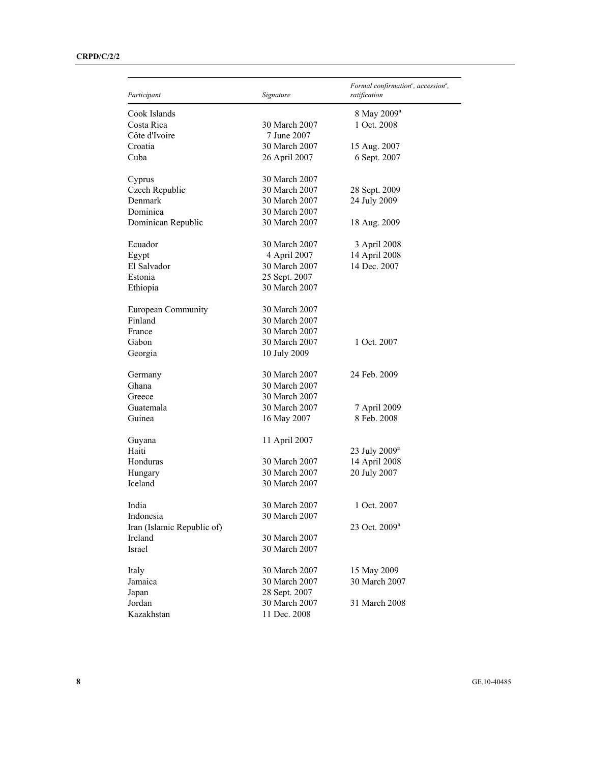| Participant                | Signature     | Formal confirmation <sup>c</sup> , accession <sup>a</sup> ,<br>ratification |
|----------------------------|---------------|-----------------------------------------------------------------------------|
| Cook Islands               |               | 8 May 2009 <sup>a</sup>                                                     |
| Costa Rica                 | 30 March 2007 | 1 Oct. 2008                                                                 |
| Côte d'Ivoire              | 7 June 2007   |                                                                             |
| Croatia                    | 30 March 2007 | 15 Aug. 2007                                                                |
| Cuba                       | 26 April 2007 | 6 Sept. 2007                                                                |
| Cyprus                     | 30 March 2007 |                                                                             |
| Czech Republic             | 30 March 2007 | 28 Sept. 2009                                                               |
| Denmark                    | 30 March 2007 | 24 July 2009                                                                |
| Dominica                   | 30 March 2007 |                                                                             |
| Dominican Republic         | 30 March 2007 | 18 Aug. 2009                                                                |
| Ecuador                    | 30 March 2007 | 3 April 2008                                                                |
| Egypt                      | 4 April 2007  | 14 April 2008                                                               |
| El Salvador                | 30 March 2007 | 14 Dec. 2007                                                                |
| Estonia                    | 25 Sept. 2007 |                                                                             |
| Ethiopia                   | 30 March 2007 |                                                                             |
| European Community         | 30 March 2007 |                                                                             |
| Finland                    | 30 March 2007 |                                                                             |
| France                     | 30 March 2007 |                                                                             |
| Gabon                      | 30 March 2007 | 1 Oct. 2007                                                                 |
| Georgia                    | 10 July 2009  |                                                                             |
| Germany                    | 30 March 2007 | 24 Feb. 2009                                                                |
| Ghana                      | 30 March 2007 |                                                                             |
| Greece                     | 30 March 2007 |                                                                             |
| Guatemala                  | 30 March 2007 | 7 April 2009                                                                |
| Guinea                     | 16 May 2007   | 8 Feb. 2008                                                                 |
| Guyana                     | 11 April 2007 |                                                                             |
| Haiti                      |               | 23 July 2009 <sup>a</sup>                                                   |
| Honduras                   | 30 March 2007 | 14 April 2008                                                               |
| Hungary                    | 30 March 2007 | 20 July 2007                                                                |
| Iceland                    | 30 March 2007 |                                                                             |
| India                      | 30 March 2007 | 1 Oct. 2007                                                                 |
| Indonesia                  | 30 March 2007 |                                                                             |
| Iran (Islamic Republic of) |               | 23 Oct. 2009 <sup>a</sup>                                                   |
| Ireland                    | 30 March 2007 |                                                                             |
| Israel                     | 30 March 2007 |                                                                             |
| Italy                      | 30 March 2007 | 15 May 2009                                                                 |
| Jamaica                    | 30 March 2007 | 30 March 2007                                                               |
| Japan                      | 28 Sept. 2007 |                                                                             |
| Jordan                     | 30 March 2007 | 31 March 2008                                                               |
| Kazakhstan                 | 11 Dec. 2008  |                                                                             |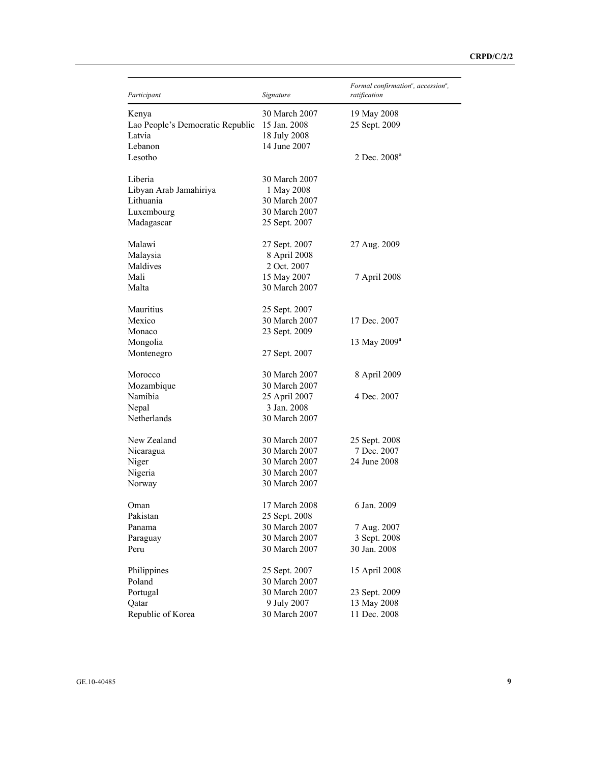| Participant                      | Signature     | Formal confirmation <sup>c</sup> , accession <sup>a</sup> ,<br>ratification |
|----------------------------------|---------------|-----------------------------------------------------------------------------|
| Kenya                            | 30 March 2007 | 19 May 2008                                                                 |
| Lao People's Democratic Republic | 15 Jan. 2008  | 25 Sept. 2009                                                               |
| Latvia                           | 18 July 2008  |                                                                             |
| Lebanon                          | 14 June 2007  |                                                                             |
| Lesotho                          |               | 2 Dec. 2008 <sup>a</sup>                                                    |
| Liberia                          | 30 March 2007 |                                                                             |
| Libyan Arab Jamahiriya           | 1 May 2008    |                                                                             |
| Lithuania                        | 30 March 2007 |                                                                             |
| Luxembourg                       | 30 March 2007 |                                                                             |
| Madagascar                       | 25 Sept. 2007 |                                                                             |
| Malawi                           | 27 Sept. 2007 | 27 Aug. 2009                                                                |
| Malaysia                         | 8 April 2008  |                                                                             |
| Maldives                         | 2 Oct. 2007   |                                                                             |
| Mali                             | 15 May 2007   | 7 April 2008                                                                |
| Malta                            | 30 March 2007 |                                                                             |
| Mauritius                        | 25 Sept. 2007 |                                                                             |
| Mexico                           | 30 March 2007 | 17 Dec. 2007                                                                |
| Monaco                           | 23 Sept. 2009 |                                                                             |
| Mongolia                         |               | 13 May 2009 <sup>a</sup>                                                    |
| Montenegro                       | 27 Sept. 2007 |                                                                             |
| Morocco                          | 30 March 2007 | 8 April 2009                                                                |
| Mozambique                       | 30 March 2007 |                                                                             |
| Namibia                          | 25 April 2007 | 4 Dec. 2007                                                                 |
| Nepal                            | 3 Jan. 2008   |                                                                             |
| Netherlands                      | 30 March 2007 |                                                                             |
| New Zealand                      | 30 March 2007 | 25 Sept. 2008                                                               |
| Nicaragua                        | 30 March 2007 | 7 Dec. 2007                                                                 |
| Niger                            | 30 March 2007 | 24 June 2008                                                                |
| Nigeria                          | 30 March 2007 |                                                                             |
| Norway                           | 30 March 2007 |                                                                             |
| Oman                             | 17 March 2008 | 6 Jan. 2009                                                                 |
| Pakistan                         | 25 Sept. 2008 |                                                                             |
| Panama                           | 30 March 2007 | 7 Aug. 2007                                                                 |
| Paraguay                         | 30 March 2007 | 3 Sept. 2008                                                                |
| Peru                             | 30 March 2007 | 30 Jan. 2008                                                                |
| Philippines                      | 25 Sept. 2007 | 15 April 2008                                                               |
| Poland                           | 30 March 2007 |                                                                             |
| Portugal                         | 30 March 2007 | 23 Sept. 2009                                                               |
| Qatar                            | 9 July 2007   | 13 May 2008                                                                 |
| Republic of Korea                | 30 March 2007 | 11 Dec. 2008                                                                |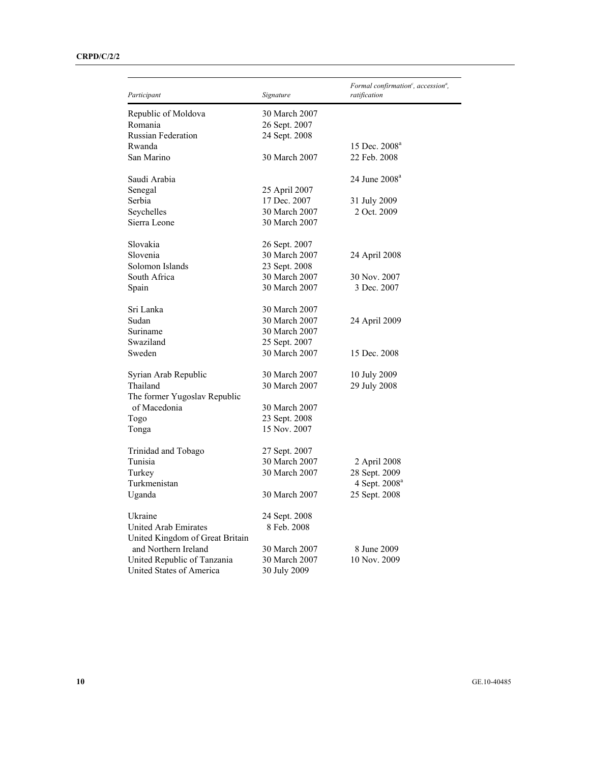| Participant                     | Signature     | Formal confirmation <sup>c</sup> , accession <sup>a</sup> ,<br>ratification |
|---------------------------------|---------------|-----------------------------------------------------------------------------|
| Republic of Moldova             | 30 March 2007 |                                                                             |
| Romania                         | 26 Sept. 2007 |                                                                             |
| <b>Russian Federation</b>       | 24 Sept. 2008 |                                                                             |
| Rwanda                          |               | 15 Dec. 2008 <sup>a</sup>                                                   |
| San Marino                      | 30 March 2007 | 22 Feb. 2008                                                                |
|                                 |               |                                                                             |
| Saudi Arabia                    |               | 24 June 2008 <sup>a</sup>                                                   |
| Senegal                         | 25 April 2007 |                                                                             |
| Serbia                          | 17 Dec. 2007  | 31 July 2009                                                                |
| Seychelles                      | 30 March 2007 | 2 Oct. 2009                                                                 |
| Sierra Leone                    | 30 March 2007 |                                                                             |
| Slovakia                        | 26 Sept. 2007 |                                                                             |
| Slovenia                        | 30 March 2007 | 24 April 2008                                                               |
| Solomon Islands                 | 23 Sept. 2008 |                                                                             |
| South Africa                    | 30 March 2007 | 30 Nov. 2007                                                                |
| Spain                           | 30 March 2007 | 3 Dec. 2007                                                                 |
| Sri Lanka                       | 30 March 2007 |                                                                             |
| Sudan                           | 30 March 2007 | 24 April 2009                                                               |
| Suriname                        | 30 March 2007 |                                                                             |
| Swaziland                       | 25 Sept. 2007 |                                                                             |
| Sweden                          | 30 March 2007 | 15 Dec. 2008                                                                |
|                                 |               |                                                                             |
| Syrian Arab Republic            | 30 March 2007 | 10 July 2009                                                                |
| Thailand                        | 30 March 2007 | 29 July 2008                                                                |
| The former Yugoslav Republic    |               |                                                                             |
| of Macedonia                    | 30 March 2007 |                                                                             |
| Togo                            | 23 Sept. 2008 |                                                                             |
| Tonga                           | 15 Nov. 2007  |                                                                             |
| Trinidad and Tobago             | 27 Sept. 2007 |                                                                             |
| Tunisia                         | 30 March 2007 | 2 April 2008                                                                |
| Turkey                          | 30 March 2007 | 28 Sept. 2009                                                               |
| Turkmenistan                    |               | 4 Sept. 2008 <sup>a</sup>                                                   |
| Uganda                          | 30 March 2007 | 25 Sept. 2008                                                               |
| Ukraine                         | 24 Sept. 2008 |                                                                             |
| United Arab Emirates            | 8 Feb. 2008   |                                                                             |
| United Kingdom of Great Britain |               |                                                                             |
| and Northern Ireland            | 30 March 2007 | 8 June 2009                                                                 |
|                                 |               | 10 Nov. 2009                                                                |
| United Republic of Tanzania     | 30 March 2007 |                                                                             |
| United States of America        | 30 July 2009  |                                                                             |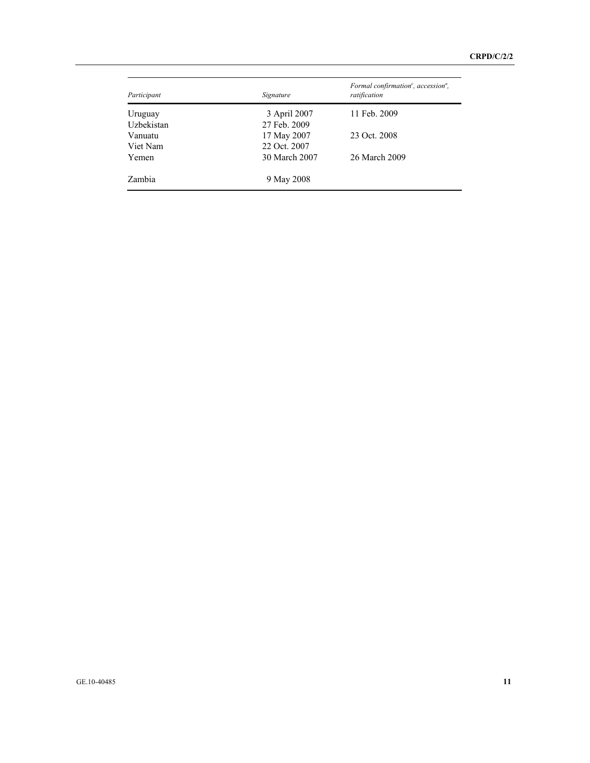| Participant | Signature     | Formal confirmation <sup>c</sup> , accession <sup>a</sup> ,<br>ratification |
|-------------|---------------|-----------------------------------------------------------------------------|
| Uruguay     | 3 April 2007  | 11 Feb. 2009                                                                |
| Uzbekistan  | 27 Feb. 2009  |                                                                             |
| Vanuatu     | 17 May 2007   | 23 Oct. 2008                                                                |
| Viet Nam    | 22 Oct. 2007  |                                                                             |
| Yemen       | 30 March 2007 | 26 March 2009                                                               |
| Zambia      | 9 May 2008    |                                                                             |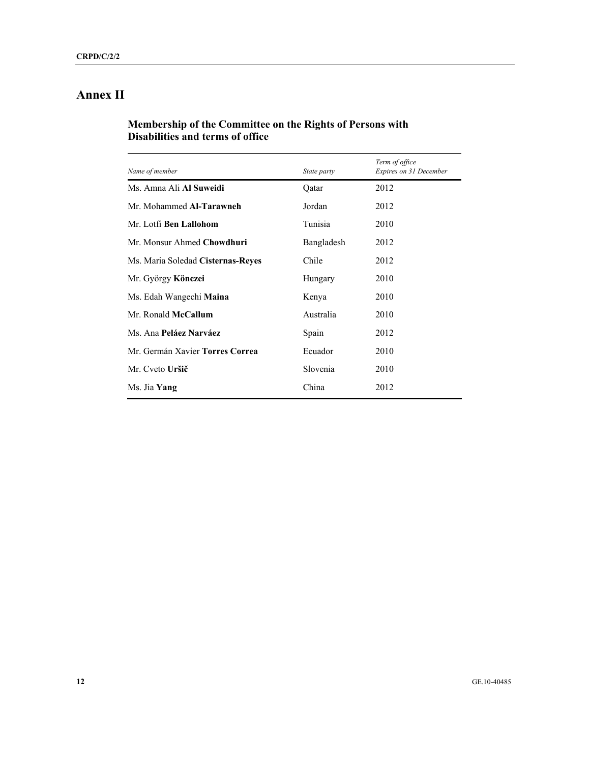# **Annex II**

## **Membership of the Committee on the Rights of Persons with Disabilities and terms of office**

| Name of member                    | State party | Term of office<br>Expires on 31 December |
|-----------------------------------|-------------|------------------------------------------|
| Ms. Amna Ali Al Suweidi           | Qatar       | 2012                                     |
| Mr. Mohammed Al-Tarawneh          | Jordan      | 2012                                     |
| Mr. Lotfi Ben Lallohom            | Tunisia     | 2010                                     |
| Mr. Monsur Ahmed Chowdhuri        | Bangladesh  | 2012                                     |
| Ms. Maria Soledad Cisternas-Reyes | Chile       | 2012                                     |
| Mr. György Könczei                | Hungary     | 2010                                     |
| Ms. Edah Wangechi <b>Maina</b>    | Kenya       | 2010                                     |
| Mr. Ronald McCallum               | Australia   | 2010                                     |
| Ms. Ana Peláez Narváez            | Spain       | 2012                                     |
| Mr. Germán Xavier Torres Correa   | Ecuador     | 2010                                     |
| Mr. Cveto Uršič                   | Slovenia    | 2010                                     |
| Ms. Jia Yang                      | China       | 2012                                     |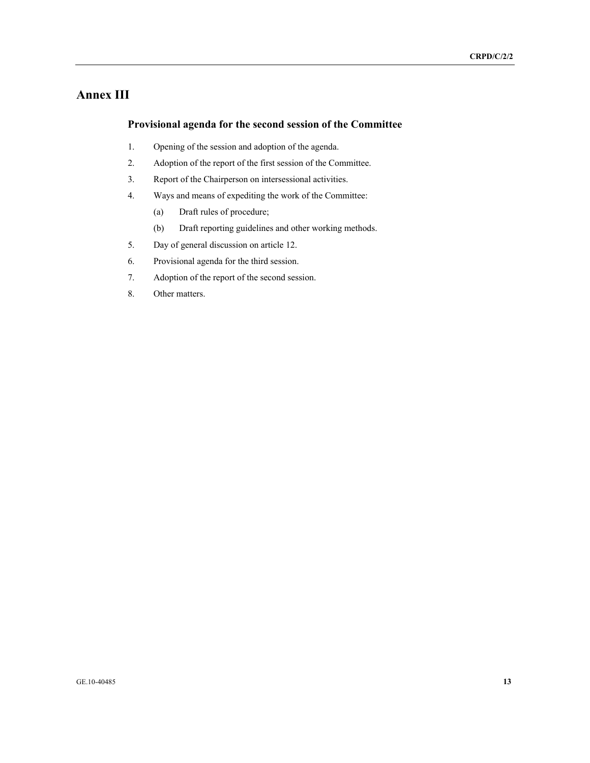## **Annex III**

### **Provisional agenda for the second session of the Committee**

- 1. Opening of the session and adoption of the agenda.
- 2. Adoption of the report of the first session of the Committee.
- 3. Report of the Chairperson on intersessional activities.
- 4. Ways and means of expediting the work of the Committee:
	- (a) Draft rules of procedure;
	- (b) Draft reporting guidelines and other working methods.
- 5. Day of general discussion on article 12.
- 6. Provisional agenda for the third session.
- 7. Adoption of the report of the second session.
- 8. Other matters.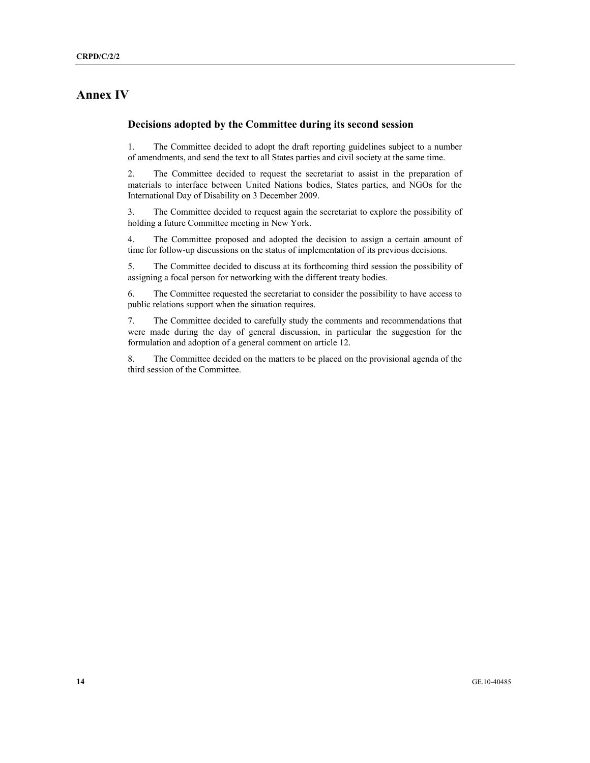## **Annex IV**

### **Decisions adopted by the Committee during its second session**

1. The Committee decided to adopt the draft reporting guidelines subject to a number of amendments, and send the text to all States parties and civil society at the same time.

2. The Committee decided to request the secretariat to assist in the preparation of materials to interface between United Nations bodies, States parties, and NGOs for the International Day of Disability on 3 December 2009.

3. The Committee decided to request again the secretariat to explore the possibility of holding a future Committee meeting in New York.

4. The Committee proposed and adopted the decision to assign a certain amount of time for follow-up discussions on the status of implementation of its previous decisions.

5. The Committee decided to discuss at its forthcoming third session the possibility of assigning a focal person for networking with the different treaty bodies.

6. The Committee requested the secretariat to consider the possibility to have access to public relations support when the situation requires.

7. The Committee decided to carefully study the comments and recommendations that were made during the day of general discussion, in particular the suggestion for the formulation and adoption of a general comment on article 12.

8. The Committee decided on the matters to be placed on the provisional agenda of the third session of the Committee.